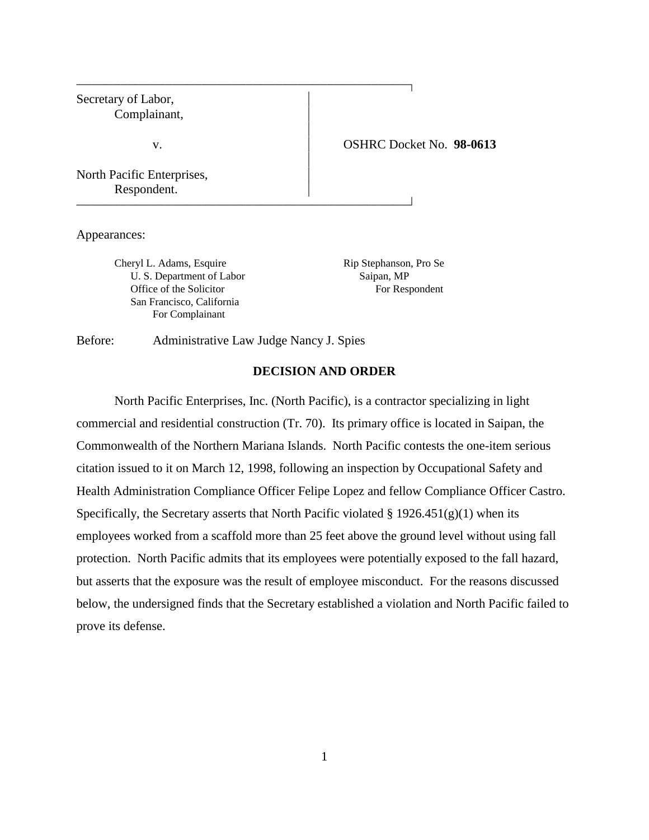| Secretary of Labor,<br>Complainant,       |                          |
|-------------------------------------------|--------------------------|
| v.                                        | OSHRC Docket No. 98-0613 |
| North Pacific Enterprises,<br>Respondent. |                          |

Appearances:

Cheryl L. Adams, Esquire Rip Stephanson, Pro Se U. S. Department of Labor Saipan, MP Office of the Solicitor For Respondent San Francisco, California For Complainant

Before: Administrative Law Judge Nancy J. Spies

# **DECISION AND ORDER**

North Pacific Enterprises, Inc. (North Pacific), is a contractor specializing in light commercial and residential construction (Tr. 70). Its primary office is located in Saipan, the Commonwealth of the Northern Mariana Islands. North Pacific contests the one-item serious citation issued to it on March 12, 1998, following an inspection by Occupational Safety and Health Administration Compliance Officer Felipe Lopez and fellow Compliance Officer Castro. Specifically, the Secretary asserts that North Pacific violated  $\S 1926.451(g)(1)$  when its employees worked from a scaffold more than 25 feet above the ground level without using fall protection. North Pacific admits that its employees were potentially exposed to the fall hazard, but asserts that the exposure was the result of employee misconduct. For the reasons discussed below, the undersigned finds that the Secretary established a violation and North Pacific failed to prove its defense.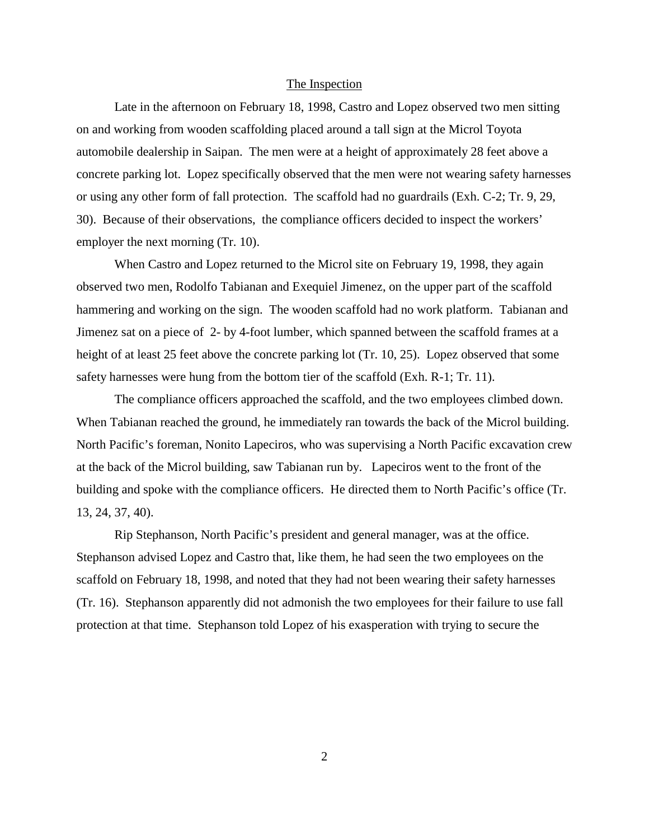## The Inspection

Late in the afternoon on February 18, 1998, Castro and Lopez observed two men sitting on and working from wooden scaffolding placed around a tall sign at the Microl Toyota automobile dealership in Saipan. The men were at a height of approximately 28 feet above a concrete parking lot. Lopez specifically observed that the men were not wearing safety harnesses or using any other form of fall protection. The scaffold had no guardrails (Exh. C-2; Tr. 9, 29, 30). Because of their observations, the compliance officers decided to inspect the workers' employer the next morning (Tr. 10).

When Castro and Lopez returned to the Microl site on February 19, 1998, they again observed two men, Rodolfo Tabianan and Exequiel Jimenez, on the upper part of the scaffold hammering and working on the sign. The wooden scaffold had no work platform. Tabianan and Jimenez sat on a piece of 2- by 4-foot lumber, which spanned between the scaffold frames at a height of at least 25 feet above the concrete parking lot (Tr. 10, 25). Lopez observed that some safety harnesses were hung from the bottom tier of the scaffold (Exh. R-1; Tr. 11).

The compliance officers approached the scaffold, and the two employees climbed down. When Tabianan reached the ground, he immediately ran towards the back of the Microl building. North Pacific's foreman, Nonito Lapeciros, who was supervising a North Pacific excavation crew at the back of the Microl building, saw Tabianan run by. Lapeciros went to the front of the building and spoke with the compliance officers. He directed them to North Pacific's office (Tr. 13, 24, 37, 40).

Rip Stephanson, North Pacific's president and general manager, was at the office. Stephanson advised Lopez and Castro that, like them, he had seen the two employees on the scaffold on February 18, 1998, and noted that they had not been wearing their safety harnesses (Tr. 16). Stephanson apparently did not admonish the two employees for their failure to use fall protection at that time. Stephanson told Lopez of his exasperation with trying to secure the

2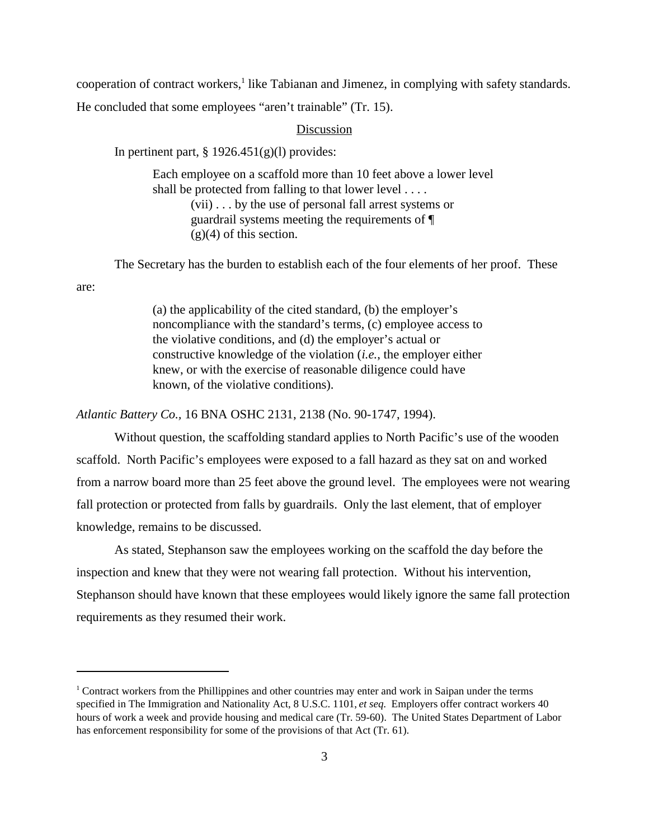cooperation of contract workers,<sup>1</sup> like Tabianan and Jimenez, in complying with safety standards. He concluded that some employees "aren't trainable" (Tr. 15).

# Discussion

In pertinent part,  $\S 1926.451(g)(1)$  provides:

are:

Each employee on a scaffold more than 10 feet above a lower level shall be protected from falling to that lower level . . . . (vii) . . . by the use of personal fall arrest systems or guardrail systems meeting the requirements of ¶  $(g)(4)$  of this section.

The Secretary has the burden to establish each of the four elements of her proof. These

(a) the applicability of the cited standard, (b) the employer's noncompliance with the standard's terms, (c) employee access to the violative conditions, and (d) the employer's actual or constructive knowledge of the violation (*i.e.*, the employer either knew, or with the exercise of reasonable diligence could have known, of the violative conditions).

*Atlantic Battery Co.,* 16 BNA OSHC 2131, 2138 (No. 90-1747, 1994).

Without question, the scaffolding standard applies to North Pacific's use of the wooden scaffold. North Pacific's employees were exposed to a fall hazard as they sat on and worked from a narrow board more than 25 feet above the ground level. The employees were not wearing fall protection or protected from falls by guardrails. Only the last element, that of employer knowledge, remains to be discussed.

As stated, Stephanson saw the employees working on the scaffold the day before the inspection and knew that they were not wearing fall protection. Without his intervention, Stephanson should have known that these employees would likely ignore the same fall protection requirements as they resumed their work.

 $1$  Contract workers from the Phillippines and other countries may enter and work in Saipan under the terms specified in The Immigration and Nationality Act, 8 U.S.C. 1101, *et seq*. Employers offer contract workers 40 hours of work a week and provide housing and medical care (Tr. 59-60). The United States Department of Labor has enforcement responsibility for some of the provisions of that Act (Tr. 61).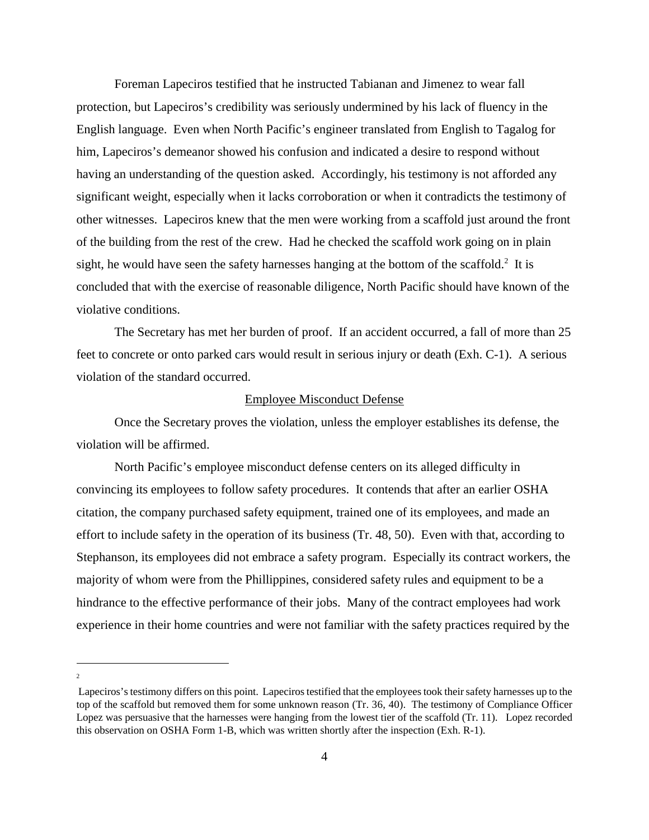Foreman Lapeciros testified that he instructed Tabianan and Jimenez to wear fall protection, but Lapeciros's credibility was seriously undermined by his lack of fluency in the English language. Even when North Pacific's engineer translated from English to Tagalog for him, Lapeciros's demeanor showed his confusion and indicated a desire to respond without having an understanding of the question asked. Accordingly, his testimony is not afforded any significant weight, especially when it lacks corroboration or when it contradicts the testimony of other witnesses. Lapeciros knew that the men were working from a scaffold just around the front of the building from the rest of the crew. Had he checked the scaffold work going on in plain sight, he would have seen the safety harnesses hanging at the bottom of the scaffold. $2$  It is concluded that with the exercise of reasonable diligence, North Pacific should have known of the violative conditions.

The Secretary has met her burden of proof. If an accident occurred, a fall of more than 25 feet to concrete or onto parked cars would result in serious injury or death (Exh. C-1). A serious violation of the standard occurred.

#### Employee Misconduct Defense

Once the Secretary proves the violation, unless the employer establishes its defense, the violation will be affirmed.

North Pacific's employee misconduct defense centers on its alleged difficulty in convincing its employees to follow safety procedures. It contends that after an earlier OSHA citation, the company purchased safety equipment, trained one of its employees, and made an effort to include safety in the operation of its business (Tr. 48, 50). Even with that, according to Stephanson, its employees did not embrace a safety program. Especially its contract workers, the majority of whom were from the Phillippines, considered safety rules and equipment to be a hindrance to the effective performance of their jobs. Many of the contract employees had work experience in their home countries and were not familiar with the safety practices required by the

2

Lapeciros's testimony differs on this point. Lapeciros testified that the employees took their safety harnesses up to the top of the scaffold but removed them for some unknown reason (Tr. 36, 40). The testimony of Compliance Officer Lopez was persuasive that the harnesses were hanging from the lowest tier of the scaffold (Tr. 11). Lopez recorded this observation on OSHA Form 1-B, which was written shortly after the inspection (Exh. R-1).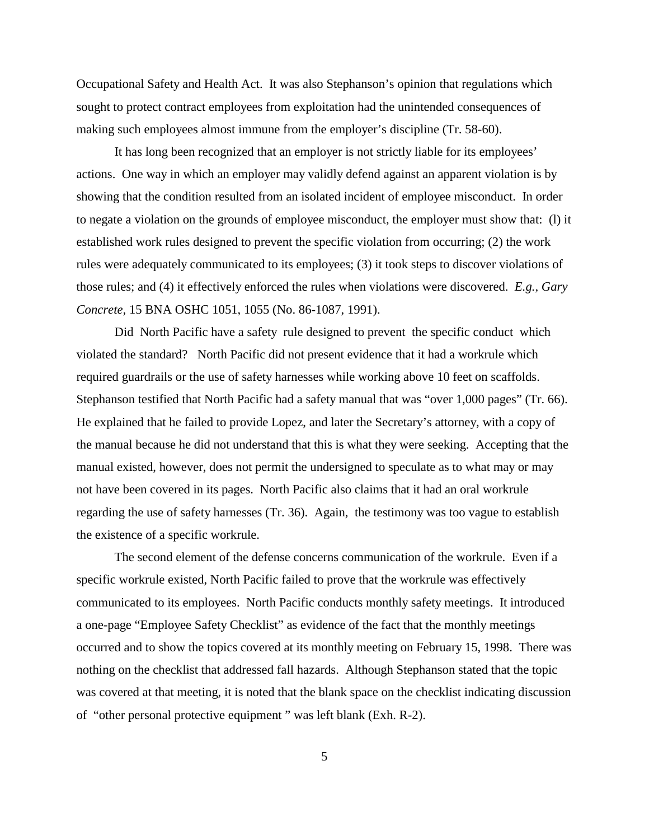Occupational Safety and Health Act. It was also Stephanson's opinion that regulations which sought to protect contract employees from exploitation had the unintended consequences of making such employees almost immune from the employer's discipline (Tr. 58-60).

It has long been recognized that an employer is not strictly liable for its employees' actions. One way in which an employer may validly defend against an apparent violation is by showing that the condition resulted from an isolated incident of employee misconduct. In order to negate a violation on the grounds of employee misconduct, the employer must show that: (l) it established work rules designed to prevent the specific violation from occurring; (2) the work rules were adequately communicated to its employees; (3) it took steps to discover violations of those rules; and (4) it effectively enforced the rules when violations were discovered. *E.g., Gary Concrete,* 15 BNA OSHC 1051, 1055 (No. 86-1087, 1991).

Did North Pacific have a safety rule designed to prevent the specific conduct which violated the standard? North Pacific did not present evidence that it had a workrule which required guardrails or the use of safety harnesses while working above 10 feet on scaffolds. Stephanson testified that North Pacific had a safety manual that was "over 1,000 pages" (Tr. 66). He explained that he failed to provide Lopez, and later the Secretary's attorney, with a copy of the manual because he did not understand that this is what they were seeking. Accepting that the manual existed, however, does not permit the undersigned to speculate as to what may or may not have been covered in its pages. North Pacific also claims that it had an oral workrule regarding the use of safety harnesses (Tr. 36). Again, the testimony was too vague to establish the existence of a specific workrule.

The second element of the defense concerns communication of the workrule. Even if a specific workrule existed, North Pacific failed to prove that the workrule was effectively communicated to its employees. North Pacific conducts monthly safety meetings. It introduced a one-page "Employee Safety Checklist" as evidence of the fact that the monthly meetings occurred and to show the topics covered at its monthly meeting on February 15, 1998. There was nothing on the checklist that addressed fall hazards. Although Stephanson stated that the topic was covered at that meeting, it is noted that the blank space on the checklist indicating discussion of "other personal protective equipment " was left blank (Exh. R-2).

5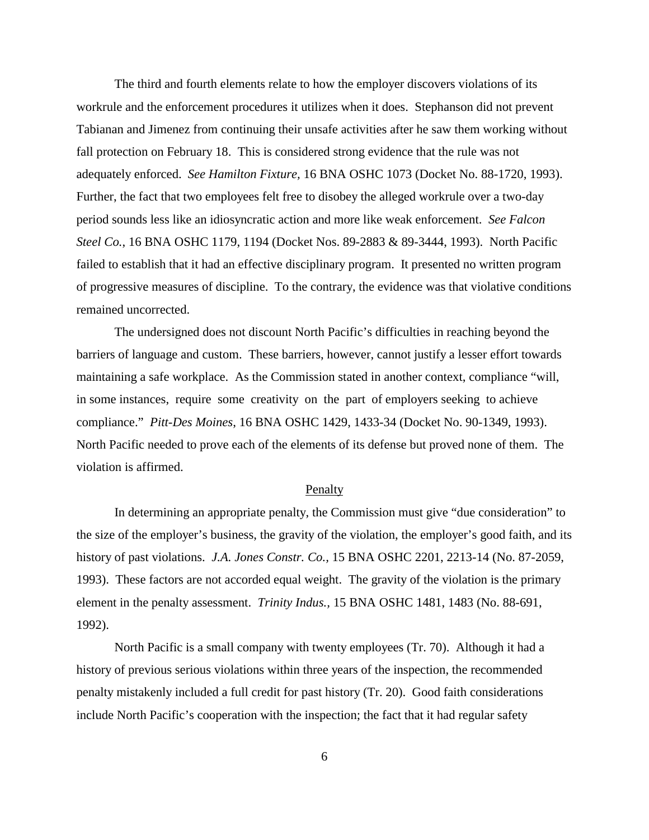The third and fourth elements relate to how the employer discovers violations of its workrule and the enforcement procedures it utilizes when it does. Stephanson did not prevent Tabianan and Jimenez from continuing their unsafe activities after he saw them working without fall protection on February 18. This is considered strong evidence that the rule was not adequately enforced. *See Hamilton Fixture,* 16 BNA OSHC 1073 (Docket No. 88-1720, 1993). Further, the fact that two employees felt free to disobey the alleged workrule over a two-day period sounds less like an idiosyncratic action and more like weak enforcement. *See Falcon Steel Co.*, 16 BNA OSHC 1179, 1194 (Docket Nos. 89-2883 & 89-3444, 1993). North Pacific failed to establish that it had an effective disciplinary program. It presented no written program of progressive measures of discipline. To the contrary, the evidence was that violative conditions remained uncorrected.

The undersigned does not discount North Pacific's difficulties in reaching beyond the barriers of language and custom. These barriers, however, cannot justify a lesser effort towards maintaining a safe workplace. As the Commission stated in another context, compliance "will, in some instances, require some creativity on the part of employers seeking to achieve compliance." *Pitt-Des Moines*, 16 BNA OSHC 1429, 1433-34 (Docket No. 90-1349, 1993). North Pacific needed to prove each of the elements of its defense but proved none of them. The violation is affirmed.

## Penalty

In determining an appropriate penalty, the Commission must give "due consideration" to the size of the employer's business, the gravity of the violation, the employer's good faith, and its history of past violations. *J.A. Jones Constr. Co.,* 15 BNA OSHC 2201, 2213-14 (No. 87-2059, 1993). These factors are not accorded equal weight. The gravity of the violation is the primary element in the penalty assessment. *Trinity Indus.,* 15 BNA OSHC 1481, 1483 (No. 88-691, 1992).

North Pacific is a small company with twenty employees (Tr. 70). Although it had a history of previous serious violations within three years of the inspection, the recommended penalty mistakenly included a full credit for past history (Tr. 20). Good faith considerations include North Pacific's cooperation with the inspection; the fact that it had regular safety